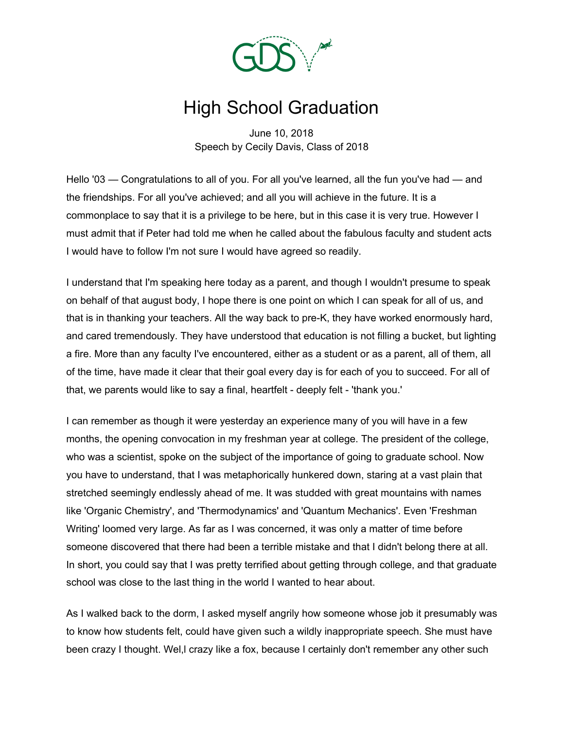

## High School Graduation

June 10, 2018 Speech by Cecily Davis, Class of 2018

Hello '03 — Congratulations to all of you. For all you've learned, all the fun you've had — and the friendships. For all you've achieved; and all you will achieve in the future. It is a commonplace to say that it is a privilege to be here, but in this case it is very true. However I must admit that if Peter had told me when he called about the fabulous faculty and student acts I would have to follow I'm not sure I would have agreed so readily.

I understand that I'm speaking here today as a parent, and though I wouldn't presume to speak on behalf of that august body, I hope there is one point on which I can speak for all of us, and that is in thanking your teachers. All the way back to pre-K, they have worked enormously hard, and cared tremendously. They have understood that education is not filling a bucket, but lighting a fire. More than any faculty I've encountered, either as a student or as a parent, all of them, all of the time, have made it clear that their goal every day is for each of you to succeed. For all of that, we parents would like to say a final, heartfelt - deeply felt - 'thank you.'

I can remember as though it were yesterday an experience many of you will have in a few months, the opening convocation in my freshman year at college. The president of the college, who was a scientist, spoke on the subject of the importance of going to graduate school. Now you have to understand, that I was metaphorically hunkered down, staring at a vast plain that stretched seemingly endlessly ahead of me. It was studded with great mountains with names like 'Organic Chemistry', and 'Thermodynamics' and 'Quantum Mechanics'. Even 'Freshman Writing' loomed very large. As far as I was concerned, it was only a matter of time before someone discovered that there had been a terrible mistake and that I didn't belong there at all. In short, you could say that I was pretty terrified about getting through college, and that graduate school was close to the last thing in the world I wanted to hear about.

As I walked back to the dorm, I asked myself angrily how someone whose job it presumably was to know how students felt, could have given such a wildly inappropriate speech. She must have been crazy I thought. Wel,l crazy like a fox, because I certainly don't remember any other such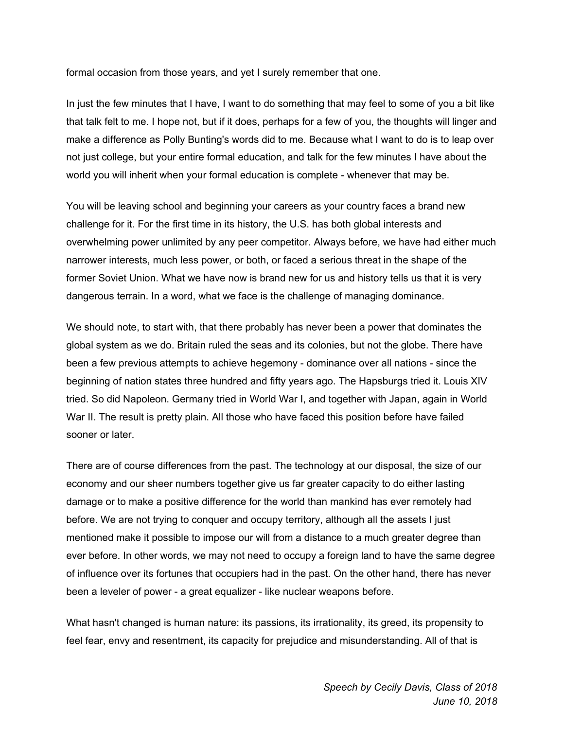formal occasion from those years, and yet I surely remember that one.

In just the few minutes that I have, I want to do something that may feel to some of you a bit like that talk felt to me. I hope not, but if it does, perhaps for a few of you, the thoughts will linger and make a difference as Polly Bunting's words did to me. Because what I want to do is to leap over not just college, but your entire formal education, and talk for the few minutes I have about the world you will inherit when your formal education is complete - whenever that may be.

You will be leaving school and beginning your careers as your country faces a brand new challenge for it. For the first time in its history, the U.S. has both global interests and overwhelming power unlimited by any peer competitor. Always before, we have had either much narrower interests, much less power, or both, or faced a serious threat in the shape of the former Soviet Union. What we have now is brand new for us and history tells us that it is very dangerous terrain. In a word, what we face is the challenge of managing dominance.

We should note, to start with, that there probably has never been a power that dominates the global system as we do. Britain ruled the seas and its colonies, but not the globe. There have been a few previous attempts to achieve hegemony - dominance over all nations - since the beginning of nation states three hundred and fifty years ago. The Hapsburgs tried it. Louis XIV tried. So did Napoleon. Germany tried in World War I, and together with Japan, again in World War II. The result is pretty plain. All those who have faced this position before have failed sooner or later.

There are of course differences from the past. The technology at our disposal, the size of our economy and our sheer numbers together give us far greater capacity to do either lasting damage or to make a positive difference for the world than mankind has ever remotely had before. We are not trying to conquer and occupy territory, although all the assets I just mentioned make it possible to impose our will from a distance to a much greater degree than ever before. In other words, we may not need to occupy a foreign land to have the same degree of influence over its fortunes that occupiers had in the past. On the other hand, there has never been a leveler of power - a great equalizer - like nuclear weapons before.

What hasn't changed is human nature: its passions, its irrationality, its greed, its propensity to feel fear, envy and resentment, its capacity for prejudice and misunderstanding. All of that is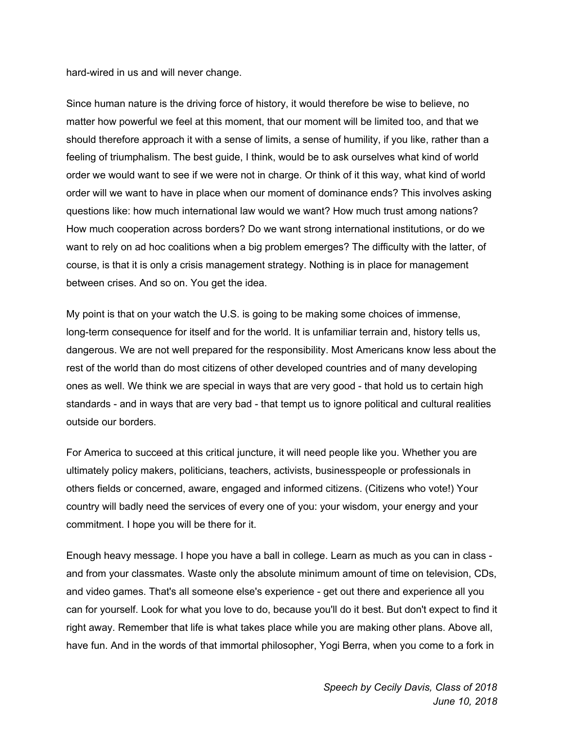hard-wired in us and will never change.

Since human nature is the driving force of history, it would therefore be wise to believe, no matter how powerful we feel at this moment, that our moment will be limited too, and that we should therefore approach it with a sense of limits, a sense of humility, if you like, rather than a feeling of triumphalism. The best guide, I think, would be to ask ourselves what kind of world order we would want to see if we were not in charge. Or think of it this way, what kind of world order will we want to have in place when our moment of dominance ends? This involves asking questions like: how much international law would we want? How much trust among nations? How much cooperation across borders? Do we want strong international institutions, or do we want to rely on ad hoc coalitions when a big problem emerges? The difficulty with the latter, of course, is that it is only a crisis management strategy. Nothing is in place for management between crises. And so on. You get the idea.

My point is that on your watch the U.S. is going to be making some choices of immense, long-term consequence for itself and for the world. It is unfamiliar terrain and, history tells us, dangerous. We are not well prepared for the responsibility. Most Americans know less about the rest of the world than do most citizens of other developed countries and of many developing ones as well. We think we are special in ways that are very good - that hold us to certain high standards - and in ways that are very bad - that tempt us to ignore political and cultural realities outside our borders.

For America to succeed at this critical juncture, it will need people like you. Whether you are ultimately policy makers, politicians, teachers, activists, businesspeople or professionals in others fields or concerned, aware, engaged and informed citizens. (Citizens who vote!) Your country will badly need the services of every one of you: your wisdom, your energy and your commitment. I hope you will be there for it.

Enough heavy message. I hope you have a ball in college. Learn as much as you can in class and from your classmates. Waste only the absolute minimum amount of time on television, CDs, and video games. That's all someone else's experience - get out there and experience all you can for yourself. Look for what you love to do, because you'll do it best. But don't expect to find it right away. Remember that life is what takes place while you are making other plans. Above all, have fun. And in the words of that immortal philosopher, Yogi Berra, when you come to a fork in